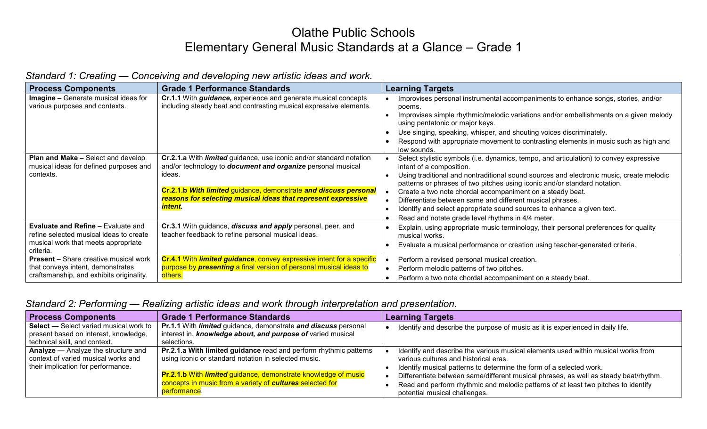## Olathe Public Schools Elementary General Music Standards at a Glance – Grade 1

|  | Standard 1: Creating — Conceiving and developing new artistic ideas and work. |  |
|--|-------------------------------------------------------------------------------|--|
|  |                                                                               |  |

| <b>Process Components</b>                                                                                                                | <b>Grade 1 Performance Standards</b>                                                                                                                                                                                           | <b>Learning Targets</b>                                                                                                                                                                                                                                                                                                                                                                              |
|------------------------------------------------------------------------------------------------------------------------------------------|--------------------------------------------------------------------------------------------------------------------------------------------------------------------------------------------------------------------------------|------------------------------------------------------------------------------------------------------------------------------------------------------------------------------------------------------------------------------------------------------------------------------------------------------------------------------------------------------------------------------------------------------|
| Imagine - Generate musical ideas for<br>various purposes and contexts.                                                                   | Cr.1.1 With <i>guidance</i> , experience and generate musical concepts<br>including steady beat and contrasting musical expressive elements.                                                                                   | Improvises personal instrumental accompaniments to enhance songs, stories, and/or<br>poems.<br>Improvises simple rhythmic/melodic variations and/or embellishments on a given melody<br>using pentatonic or major keys.<br>Use singing, speaking, whisper, and shouting voices discriminately.<br>Respond with appropriate movement to contrasting elements in music such as high and<br>low sounds. |
| Plan and Make - Select and develop<br>musical ideas for defined purposes and<br>contexts.                                                | Cr.2.1.a With <i>limited</i> guidance, use iconic and/or standard notation<br>and/or technology to <b>document and organize</b> personal musical<br>ideas.<br>Cr.2.1.b With limited guidance, demonstrate and discuss personal | Select stylistic symbols (i.e. dynamics, tempo, and articulation) to convey expressive<br>intent of a composition.<br>Using traditional and nontraditional sound sources and electronic music, create melodic<br>patterns or phrases of two pitches using iconic and/or standard notation.<br>Create a two note chordal accompaniment on a steady beat.                                              |
|                                                                                                                                          | reasons for selecting musical ideas that represent expressive<br><u>intent.</u>                                                                                                                                                | Differentiate between same and different musical phrases.<br>Identify and select appropriate sound sources to enhance a given text.<br>Read and notate grade level rhythms in 4/4 meter.                                                                                                                                                                                                             |
| <b>Evaluate and Refine - Evaluate and</b><br>refine selected musical ideas to create<br>musical work that meets appropriate<br>criteria. | Cr.3.1 With guidance, discuss and apply personal, peer, and<br>teacher feedback to refine personal musical ideas.                                                                                                              | Explain, using appropriate music terminology, their personal preferences for quality<br>musical works.<br>Evaluate a musical performance or creation using teacher-generated criteria.                                                                                                                                                                                                               |
| <b>Present - Share creative musical work</b><br>that conveys intent, demonstrates<br>craftsmanship, and exhibits originality.            | Cr.4.1 With limited guidance, convey expressive intent for a specific<br>purpose by <b>presenting</b> a final version of personal musical ideas to<br>others.                                                                  | Perform a revised personal musical creation.<br>Perform melodic patterns of two pitches.<br>Perform a two note chordal accompaniment on a steady beat.                                                                                                                                                                                                                                               |

## *Standard 2: Performing — Realizing artistic ideas and work through interpretation and presentation.*

| <b>Process Components</b>                                                                                               | <b>Grade 1 Performance Standards</b>                                                                                                                | <b>Learning Targets</b>                                                                                                                                                                                     |
|-------------------------------------------------------------------------------------------------------------------------|-----------------------------------------------------------------------------------------------------------------------------------------------------|-------------------------------------------------------------------------------------------------------------------------------------------------------------------------------------------------------------|
| Select - Select varied musical work to<br>present based on interest, knowledge,<br>technical skill, and context.        | Pr.1.1 With <i>limited</i> guidance, demonstrate and discuss personal<br>interest in, knowledge about, and purpose of varied musical<br>selections. | Identify and describe the purpose of music as it is experienced in daily life.                                                                                                                              |
| <b>Analyze — Analyze the structure and</b><br>context of varied musical works and<br>their implication for performance. | Pr.2.1.a With limited guidance read and perform rhythmic patterns<br>using iconic or standard notation in selected music.                           | Identify and describe the various musical elements used within musical works from<br>various cultures and historical eras.<br>Identify musical patterns to determine the form of a selected work.           |
|                                                                                                                         | Pr.2.1.b With limited guidance, demonstrate knowledge of music<br>concepts in music from a variety of cultures selected for<br>performance.         | Differentiate between same/different musical phrases, as well as steady beat/rhythm.<br>Read and perform rhythmic and melodic patterns of at least two pitches to identify<br>potential musical challenges. |